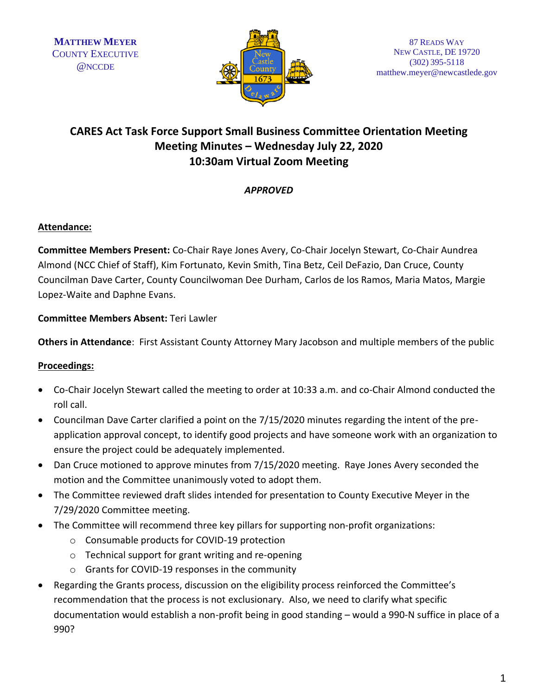

# **CARES Act Task Force Support Small Business Committee Orientation Meeting Meeting Minutes – Wednesday July 22, 2020 10:30am Virtual Zoom Meeting**

## *APPROVED*

## **Attendance:**

**Committee Members Present:** Co-Chair Raye Jones Avery, Co-Chair Jocelyn Stewart, Co-Chair Aundrea Almond (NCC Chief of Staff), Kim Fortunato, Kevin Smith, Tina Betz, Ceil DeFazio, Dan Cruce, County Councilman Dave Carter, County Councilwoman Dee Durham, Carlos de los Ramos, Maria Matos, Margie Lopez-Waite and Daphne Evans.

## **Committee Members Absent:** Teri Lawler

**Others in Attendance**: First Assistant County Attorney Mary Jacobson and multiple members of the public

#### **Proceedings:**

- Co-Chair Jocelyn Stewart called the meeting to order at 10:33 a.m. and co-Chair Almond conducted the roll call.
- Councilman Dave Carter clarified a point on the 7/15/2020 minutes regarding the intent of the preapplication approval concept, to identify good projects and have someone work with an organization to ensure the project could be adequately implemented.
- Dan Cruce motioned to approve minutes from 7/15/2020 meeting. Raye Jones Avery seconded the motion and the Committee unanimously voted to adopt them.
- The Committee reviewed draft slides intended for presentation to County Executive Meyer in the 7/29/2020 Committee meeting.
- The Committee will recommend three key pillars for supporting non-profit organizations:
	- o Consumable products for COVID-19 protection
	- o Technical support for grant writing and re-opening
	- o Grants for COVID-19 responses in the community
- Regarding the Grants process, discussion on the eligibility process reinforced the Committee's recommendation that the process is not exclusionary. Also, we need to clarify what specific documentation would establish a non-profit being in good standing – would a 990-N suffice in place of a 990?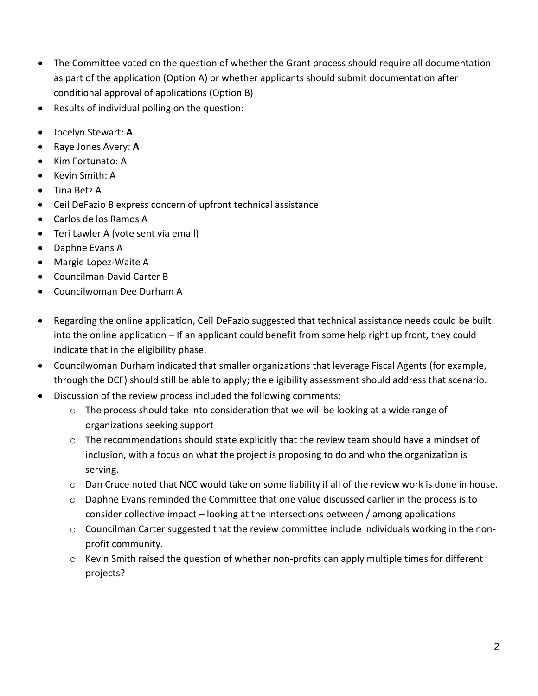- The Committee voted on the question of whether the Grant process should require all documentation as part of the application (Option A) or whether applicants should submit documentation after conditional approval of applications (Option B)
- Results of individual polling on the question:
- Jocelyn Stewart: **A**
- Raye Jones Avery: **A**
- Kim Fortunato: A
- Kevin Smith: A
- Tina Betz A
- Ceil DeFazio B express concern of upfront technical assistance
- Carlos de los Ramos A
- Teri Lawler A (vote sent via email)
- Daphne Evans A
- Margie Lopez-Waite A
- Councilman David Carter B
- Councilwoman Dee Durham A
- Regarding the online application, Ceil DeFazio suggested that technical assistance needs could be built into the online application – If an applicant could benefit from some help right up front, they could indicate that in the eligibility phase.
- Councilwoman Durham indicated that smaller organizations that leverage Fiscal Agents (for example, through the DCF) should still be able to apply; the eligibility assessment should address that scenario.
- Discussion of the review process included the following comments:
	- o The process should take into consideration that we will be looking at a wide range of organizations seeking support
	- $\circ$  The recommendations should state explicitly that the review team should have a mindset of inclusion, with a focus on what the project is proposing to do and who the organization is serving.
	- $\circ$  Dan Cruce noted that NCC would take on some liability if all of the review work is done in house.
	- $\circ$  Daphne Evans reminded the Committee that one value discussed earlier in the process is to consider collective impact – looking at the intersections between / among applications
	- $\circ$  Councilman Carter suggested that the review committee include individuals working in the nonprofit community.
	- $\circ$  Kevin Smith raised the question of whether non-profits can apply multiple times for different projects?